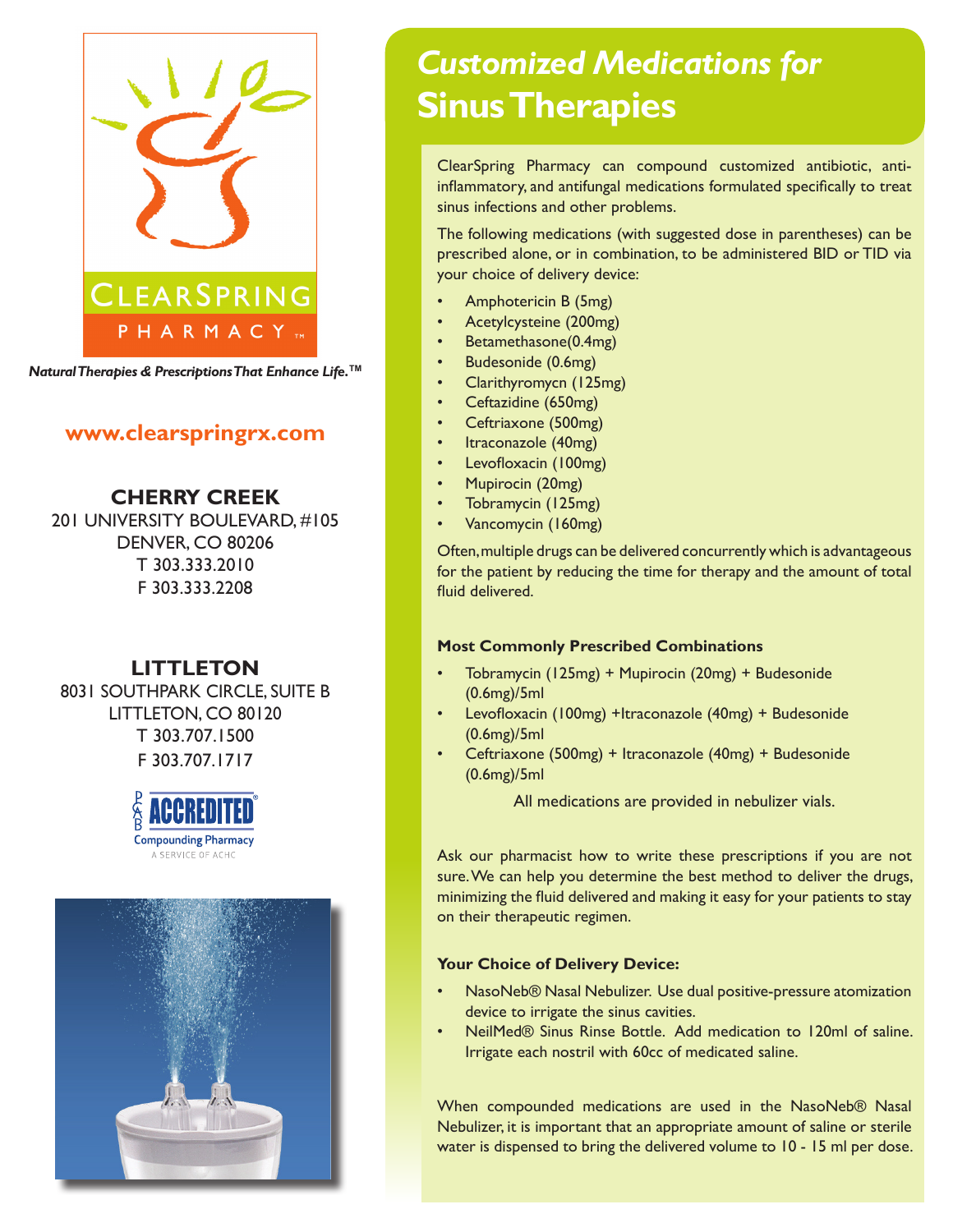

*Natural Therapies & Prescriptions That Enhance Life.***TM**

## **www.clearspringrx.com**

## **CHERRY CREEK** 201 UNIVERSITY BOULEVARD, #105 DENVER, CO 80206 T 303.333.2010 F 303.333.2208

# **LITTLETON**

8031 SOUTHPARK CIRCLE, SUITE B LITTLETON, CO 80120 T 303.707.1500 F 303.707.1717





# *Customized Medications for* **Sinus Therapies**

ClearSpring Pharmacy can compound customized antibiotic, antiinflammatory, and antifungal medications formulated specifically to treat sinus infections and other problems.

The following medications (with suggested dose in parentheses) can be prescribed alone, or in combination, to be administered BID or TID via your choice of delivery device:

- Amphotericin B (5mg)
- Acetylcysteine (200mg)
- Betamethasone(0.4mg)
- Budesonide (0.6mg)
- Clarithyromycn (125mg)
- Ceftazidine (650mg)
- Ceftriaxone (500mg)
- Itraconazole (40mg)
- Levofloxacin (100mg)
- Mupirocin (20mg)
- Tobramycin (125mg)
- Vancomycin (160mg)

Often, multiple drugs can be delivered concurrently which is advantageous for the patient by reducing the time for therapy and the amount of total fluid delivered.

### **Most Commonly Prescribed Combinations**

- Tobramycin (125mg) + Mupirocin (20mg) + Budesonide (0.6mg)/5ml
- Levofloxacin (100mg) +Itraconazole (40mg) + Budesonide (0.6mg)/5ml
- Ceftriaxone (500mg) + Itraconazole (40mg) + Budesonide (0.6mg)/5ml

All medications are provided in nebulizer vials.

Ask our pharmacist how to write these prescriptions if you are not sure. We can help you determine the best method to deliver the drugs, minimizing the fluid delivered and making it easy for your patients to stay on their therapeutic regimen.

### **Your Choice of Delivery Device:**

- NasoNeb® Nasal Nebulizer. Use dual positive-pressure atomization device to irrigate the sinus cavities.
- NeilMed® Sinus Rinse Bottle. Add medication to 120ml of saline. Irrigate each nostril with 60cc of medicated saline.

When compounded medications are used in the NasoNeb® Nasal Nebulizer, it is important that an appropriate amount of saline or sterile water is dispensed to bring the delivered volume to 10 - 15 ml per dose.